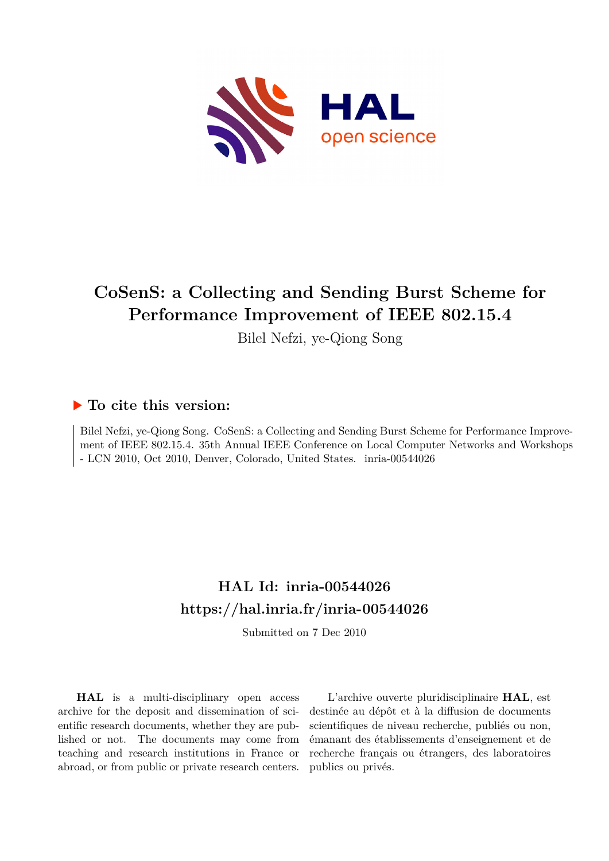

## **CoSenS: a Collecting and Sending Burst Scheme for Performance Improvement of IEEE 802.15.4**

Bilel Nefzi, ye-Qiong Song

### **To cite this version:**

Bilel Nefzi, ye-Qiong Song. CoSenS: a Collecting and Sending Burst Scheme for Performance Improvement of IEEE 802.15.4. 35th Annual IEEE Conference on Local Computer Networks and Workshops - LCN 2010, Oct 2010, Denver, Colorado, United States.  $i$ nria-00544026

## **HAL Id: inria-00544026 <https://hal.inria.fr/inria-00544026>**

Submitted on 7 Dec 2010

**HAL** is a multi-disciplinary open access archive for the deposit and dissemination of scientific research documents, whether they are published or not. The documents may come from teaching and research institutions in France or abroad, or from public or private research centers.

L'archive ouverte pluridisciplinaire **HAL**, est destinée au dépôt et à la diffusion de documents scientifiques de niveau recherche, publiés ou non, émanant des établissements d'enseignement et de recherche français ou étrangers, des laboratoires publics ou privés.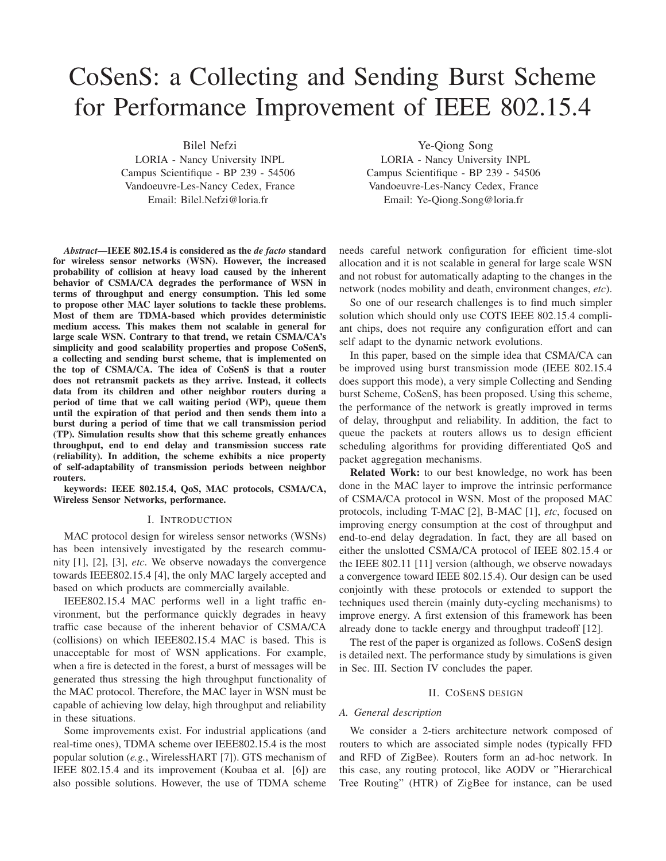# CoSenS: a Collecting and Sending Burst Scheme for Performance Improvement of IEEE 802.15.4

Bilel Nefzi

LORIA - Nancy University INPL Campus Scientifique - BP 239 - 54506 Vandoeuvre-Les-Nancy Cedex, France Email: Bilel.Nefzi@loria.fr

*Abstract***—IEEE 802.15.4 is considered as the** *de facto* **standard for wireless sensor networks (WSN). However, the increased probability of collision at heavy load caused by the inherent behavior of CSMA/CA degrades the performance of WSN in terms of throughput and energy consumption. This led some to propose other MAC layer solutions to tackle these problems. Most of them are TDMA-based which provides deterministic medium access. This makes them not scalable in general for large scale WSN. Contrary to that trend, we retain CSMA/CA's simplicity and good scalability properties and propose CoSenS, a collecting and sending burst scheme, that is implemented on the top of CSMA/CA. The idea of CoSenS is that a router does not retransmit packets as they arrive. Instead, it collects data from its children and other neighbor routers during a period of time that we call waiting period (WP), queue them until the expiration of that period and then sends them into a burst during a period of time that we call transmission period (TP). Simulation results show that this scheme greatly enhances throughput, end to end delay and transmission success rate (reliability). In addition, the scheme exhibits a nice property of self-adaptability of transmission periods between neighbor routers.**

**keywords: IEEE 802.15.4, QoS, MAC protocols, CSMA/CA, Wireless Sensor Networks, performance.**

#### I. INTRODUCTION

MAC protocol design for wireless sensor networks (WSNs) has been intensively investigated by the research community [1], [2], [3], *etc*. We observe nowadays the convergence towards IEEE802.15.4 [4], the only MAC largely accepted and based on which products are commercially available.

IEEE802.15.4 MAC performs well in a light traffic environment, but the performance quickly degrades in heavy traffic case because of the inherent behavior of CSMA/CA (collisions) on which IEEE802.15.4 MAC is based. This is unacceptable for most of WSN applications. For example, when a fire is detected in the forest, a burst of messages will be generated thus stressing the high throughput functionality of the MAC protocol. Therefore, the MAC layer in WSN must be capable of achieving low delay, high throughput and reliability in these situations.

Some improvements exist. For industrial applications (and real-time ones), TDMA scheme over IEEE802.15.4 is the most popular solution (*e.g.*, WirelessHART [7]). GTS mechanism of IEEE 802.15.4 and its improvement (Koubaa et al. [6]) are also possible solutions. However, the use of TDMA scheme

Ye-Qiong Song

LORIA - Nancy University INPL Campus Scientifique - BP 239 - 54506 Vandoeuvre-Les-Nancy Cedex, France Email: Ye-Qiong.Song@loria.fr

needs careful network configuration for efficient time-slot allocation and it is not scalable in general for large scale WSN and not robust for automatically adapting to the changes in the network (nodes mobility and death, environment changes, *etc*).

So one of our research challenges is to find much simpler solution which should only use COTS IEEE 802.15.4 compliant chips, does not require any configuration effort and can self adapt to the dynamic network evolutions.

In this paper, based on the simple idea that CSMA/CA can be improved using burst transmission mode (IEEE 802.15.4 does support this mode), a very simple Collecting and Sending burst Scheme, CoSenS, has been proposed. Using this scheme, the performance of the network is greatly improved in terms of delay, throughput and reliability. In addition, the fact to queue the packets at routers allows us to design efficient scheduling algorithms for providing differentiated QoS and packet aggregation mechanisms.

**Related Work:** to our best knowledge, no work has been done in the MAC layer to improve the intrinsic performance of CSMA/CA protocol in WSN. Most of the proposed MAC protocols, including T-MAC [2], B-MAC [1], *etc*, focused on improving energy consumption at the cost of throughput and end-to-end delay degradation. In fact, they are all based on either the unslotted CSMA/CA protocol of IEEE 802.15.4 or the IEEE 802.11 [11] version (although, we observe nowadays a convergence toward IEEE 802.15.4). Our design can be used conjointly with these protocols or extended to support the techniques used therein (mainly duty-cycling mechanisms) to improve energy. A first extension of this framework has been already done to tackle energy and throughput tradeoff [12].

The rest of the paper is organized as follows. CoSenS design is detailed next. The performance study by simulations is given in Sec. III. Section IV concludes the paper.

#### II. COSENS DESIGN

#### *A. General description*

We consider a 2-tiers architecture network composed of routers to which are associated simple nodes (typically FFD and RFD of ZigBee). Routers form an ad-hoc network. In this case, any routing protocol, like AODV or "Hierarchical Tree Routing" (HTR) of ZigBee for instance, can be used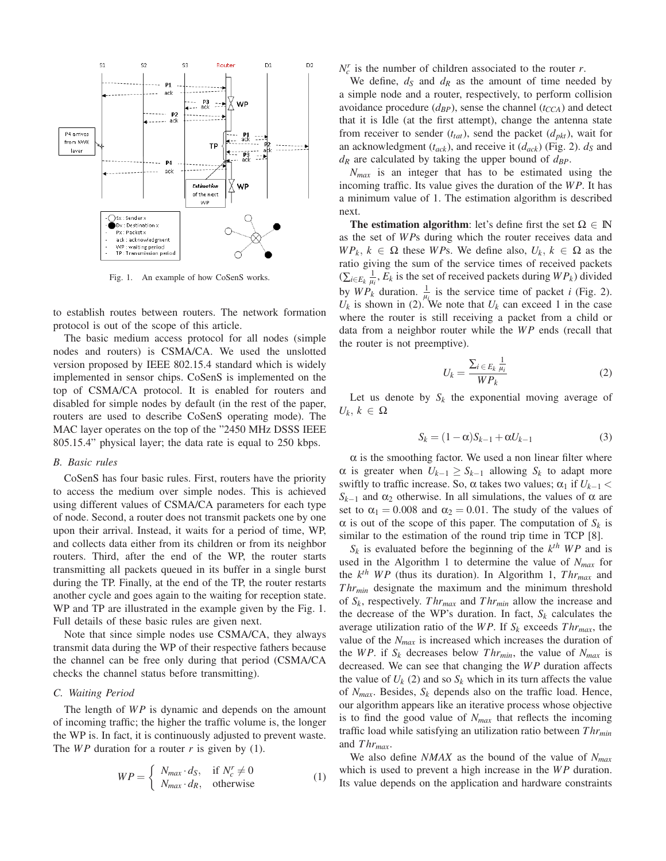

Fig. 1. An example of how CoSenS works.

to establish routes between routers. The network formation protocol is out of the scope of this article.

The basic medium access protocol for all nodes (simple nodes and routers) is CSMA/CA. We used the unslotted version proposed by IEEE 802.15.4 standard which is widely implemented in sensor chips. CoSenS is implemented on the top of CSMA/CA protocol. It is enabled for routers and disabled for simple nodes by default (in the rest of the paper, routers are used to describe CoSenS operating mode). The MAC layer operates on the top of the "2450 MHz DSSS IEEE 805.15.4" physical layer; the data rate is equal to 250 kbps.

#### *B. Basic rules*

CoSenS has four basic rules. First, routers have the priority to access the medium over simple nodes. This is achieved using different values of CSMA/CA parameters for each type of node. Second, a router does not transmit packets one by one upon their arrival. Instead, it waits for a period of time, WP, and collects data either from its children or from its neighbor routers. Third, after the end of the WP, the router starts transmitting all packets queued in its buffer in a single burst during the TP. Finally, at the end of the TP, the router restarts another cycle and goes again to the waiting for reception state. WP and TP are illustrated in the example given by the Fig. 1. Full details of these basic rules are given next.

Note that since simple nodes use CSMA/CA, they always transmit data during the WP of their respective fathers because the channel can be free only during that period (CSMA/CA checks the channel status before transmitting).

#### *C. Waiting Period*

The length of WP is dynamic and depends on the amount of incoming traffic; the higher the traffic volume is, the longer the WP is. In fact, it is continuously adjusted to prevent waste. The *WP* duration for a router  $r$  is given by (1).

$$
WP = \begin{cases} N_{max} \cdot d_S, & \text{if } N_c^r \neq 0\\ N_{max} \cdot d_R, & \text{otherwise} \end{cases}
$$
 (1)

 $N_c^r$  is the number of children associated to the router *r*.

We define,  $d_S$  and  $d_R$  as the amount of time needed by a simple node and a router, respectively, to perform collision avoidance procedure  $(d_{BP})$ , sense the channel  $(t_{CCA})$  and detect that it is Idle (at the first attempt), change the antenna state from receiver to sender  $(t<sub>tat</sub>)$ , send the packet  $(d<sub>ekt</sub>)$ , wait for an acknowledgment  $(t_{ack})$ , and receive it  $(d_{ack})$  (Fig. 2).  $d_S$  and  $d_R$  are calculated by taking the upper bound of  $d_{BP}$ .

*Nmax* is an integer that has to be estimated using the incoming traffic. Its value gives the duration of the *W P*. It has a minimum value of 1. The estimation algorithm is described next.

**The estimation algorithm**: let's define first the set  $\Omega \in \mathbb{N}$ as the set of *W P*s during which the router receives data and  $WP_k$ ,  $k \in \Omega$  these *WPs*. We define also,  $U_k$ ,  $k \in \Omega$  as the ratio giving the sum of the service times of received packets  $(\sum_{i \in E_k} \frac{1}{\mu_i}, E_k$  is the set of received packets during  $WP_k$ ) divided by  $WP_k$  duration.  $\frac{1}{\mu_i}$  is the service time of packet *i* (Fig. 2).  $U_k$  is shown in (2). We note that  $U_k$  can exceed 1 in the case where the router is still receiving a packet from a child or data from a neighbor router while the *W P* ends (recall that the router is not preemptive).

$$
U_k = \frac{\sum_{i \in E_k} \frac{1}{\mu_i}}{WP_k} \tag{2}
$$

Let us denote by  $S_k$  the exponential moving average of *Uk*, *k* ∈ Ω

$$
S_k = (1 - \alpha)S_{k-1} + \alpha U_{k-1}
$$
\n(3)

 $\alpha$  is the smoothing factor. We used a non linear filter where  $\alpha$  is greater when  $U_{k-1} \geq S_{k-1}$  allowing  $S_k$  to adapt more swiftly to traffic increase. So, α takes two values;  $\alpha_1$  if  $U_{k-1}$  <  $S_{k-1}$  and  $\alpha_2$  otherwise. In all simulations, the values of α are set to  $\alpha_1 = 0.008$  and  $\alpha_2 = 0.01$ . The study of the values of  $\alpha$  is out of the scope of this paper. The computation of  $S_k$  is similar to the estimation of the round trip time in TCP [8].

 $S_k$  is evaluated before the beginning of the  $k^{th}$  WP and is used in the Algorithm 1 to determine the value of *Nmax* for the  $k^{th}$  WP (thus its duration). In Algorithm 1,  $Thr_{max}$  and *T hrmin* designate the maximum and the minimum threshold of  $S_k$ , respectively. *Thr<sub>max</sub>* and *Thr<sub>min</sub>* allow the increase and the decrease of the WP's duration. In fact,  $S_k$  calculates the average utilization ratio of the *WP*. If  $S_k$  exceeds  $Thr_{max}$ , the value of the *Nmax* is increased which increases the duration of the *WP*. if  $S_k$  decreases below *Thr<sub>min</sub>*, the value of  $N_{max}$  is decreased. We can see that changing the *W P* duration affects the value of  $U_k$  (2) and so  $S_k$  which in its turn affects the value of *Nmax*. Besides, *Sk* depends also on the traffic load. Hence, our algorithm appears like an iterative process whose objective is to find the good value of  $N_{max}$  that reflects the incoming traffic load while satisfying an utilization ratio between *T hrmin* and *T hrmax*.

We also define *NMAX* as the bound of the value of *Nmax* which is used to prevent a high increase in the *WP* duration. Its value depends on the application and hardware constraints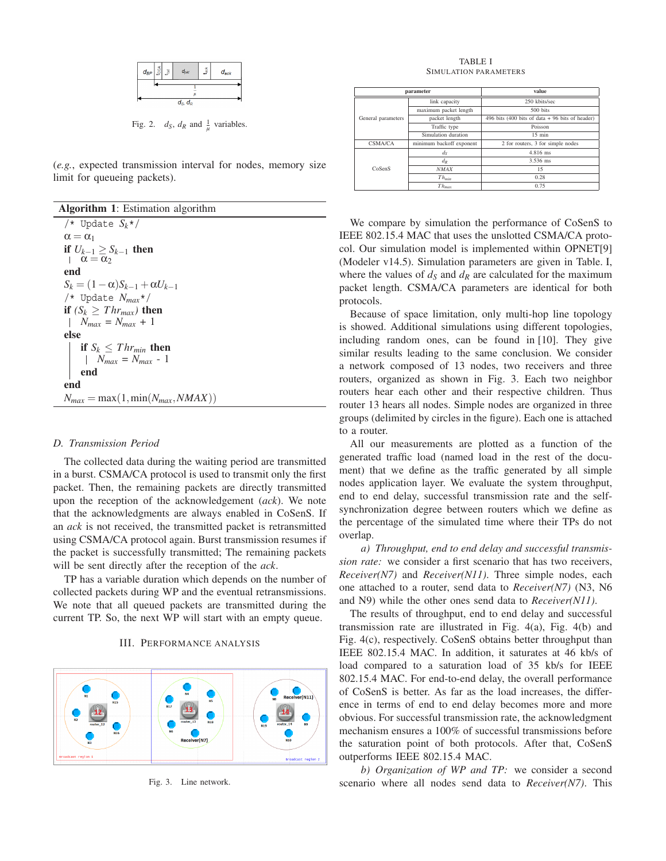

Fig. 2. *ds*, *d<sub>R</sub>* and  $\frac{1}{\mu}$  variables.

(*e.g.*, expected transmission interval for nodes, memory size limit for queueing packets).

**Algorithm 1**: Estimation algorithm

/\* Update *Sk*\*/  $\alpha = \alpha_1$ **if**  $U_{k-1} \geq S_{k-1}$  **then**  $\alpha = \overline{\alpha_2}$ **end**  $S_k = (1 − α)S_{k-1} + αU_{k-1}$ /\* Update *Nmax*\*/ **if**  $(S_k \geq Thr_{max})$  **then** *Nmax* =  $N_{max}$  + 1 **else if**  $S_k \leq Thr_{min}$  **then**  $N_{max} = N_{max} - 1$ **end end**  $N_{max} = \max(1, \min(N_{max}, NMAX))$ 

#### *D. Transmission Period*

The collected data during the waiting period are transmitted in a burst. CSMA/CA protocol is used to transmit only the first packet. Then, the remaining packets are directly transmitted upon the reception of the acknowledgement (*ack*). We note that the acknowledgments are always enabled in CoSenS. If an *ack* is not received, the transmitted packet is retransmitted using CSMA/CA protocol again. Burst transmission resumes if the packet is successfully transmitted; The remaining packets will be sent directly after the reception of the *ack*.

TP has a variable duration which depends on the number of collected packets during WP and the eventual retransmissions. We note that all queued packets are transmitted during the current TP. So, the next WP will start with an empty queue.

#### III. PERFORMANCE ANALYSIS



Fig. 3. Line network.

TABLE I SIMULATION PARAMETERS

| parameter          |                          | value                                            |
|--------------------|--------------------------|--------------------------------------------------|
| General parameters | link capacity            | 250 kbits/sec                                    |
|                    | maximum packet length    | 500 bits                                         |
|                    | packet length            | 496 bits (400 bits of data $+96$ bits of header) |
|                    | Traffic type             | Poisson                                          |
|                    | Simulation duration      | $15$ min                                         |
| CSMA/CA            | minimum backoff exponent | 2 for routers, 3 for simple nodes                |
| CoSenS             | $d_S$                    | 4.816 ms                                         |
|                    | $d_{R}$                  | 3.536 ms                                         |
|                    | <b>NMAX</b>              | 15                                               |
|                    | $Th_{min}$               | 0.28                                             |
|                    | $Th_{max}$               | 0.75                                             |

We compare by simulation the performance of CoSenS to IEEE 802.15.4 MAC that uses the unslotted CSMA/CA protocol. Our simulation model is implemented within OPNET[9] (Modeler v14.5). Simulation parameters are given in Table. I, where the values of  $d<sub>S</sub>$  and  $d<sub>R</sub>$  are calculated for the maximum packet length. CSMA/CA parameters are identical for both protocols.

Because of space limitation, only multi-hop line topology is showed. Additional simulations using different topologies, including random ones, can be found in [10]. They give similar results leading to the same conclusion. We consider a network composed of 13 nodes, two receivers and three routers, organized as shown in Fig. 3. Each two neighbor routers hear each other and their respective children. Thus router 13 hears all nodes. Simple nodes are organized in three groups (delimited by circles in the figure). Each one is attached to a router.

All our measurements are plotted as a function of the generated traffic load (named load in the rest of the document) that we define as the traffic generated by all simple nodes application layer. We evaluate the system throughput, end to end delay, successful transmission rate and the selfsynchronization degree between routers which we define as the percentage of the simulated time where their TPs do not overlap.

*a) Throughput, end to end delay and successful transmission rate:* we consider a first scenario that has two receivers, *Receiver(N7)* and *Receiver(N11)*. Three simple nodes, each one attached to a router, send data to *Receiver(N7)* (N3, N6 and N9) while the other ones send data to *Receiver(N11)*.

The results of throughput, end to end delay and successful transmission rate are illustrated in Fig. 4(a), Fig. 4(b) and Fig. 4(c), respectively. CoSenS obtains better throughput than IEEE 802.15.4 MAC. In addition, it saturates at 46 kb/s of load compared to a saturation load of 35 kb/s for IEEE 802.15.4 MAC. For end-to-end delay, the overall performance of CoSenS is better. As far as the load increases, the difference in terms of end to end delay becomes more and more obvious. For successful transmission rate, the acknowledgment mechanism ensures a 100% of successful transmissions before the saturation point of both protocols. After that, CoSenS outperforms IEEE 802.15.4 MAC.

*b) Organization of WP and TP:* we consider a second scenario where all nodes send data to *Receiver(N7)*. This